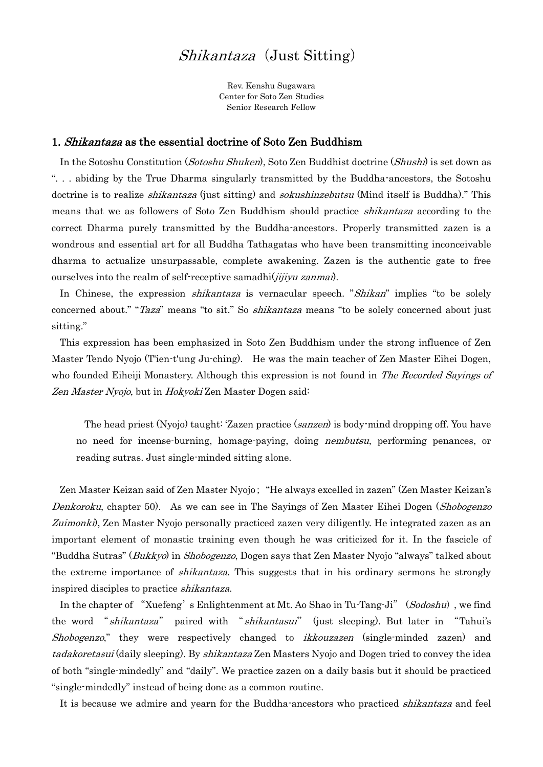## Shikantaza (Just Sitting)

Rev. Kenshu Sugawara Center for Soto Zen Studies Senior Research Fellow

## 1. Shikantaza as the essential doctrine of Soto Zen Buddhism

In the Sotoshu Constitution (Sotoshu Shuken), Soto Zen Buddhist doctrine (Shushi) is set down as ". . . abiding by the True Dharma singularly transmitted by the Buddha-ancestors, the Sotoshu doctrine is to realize *shikantaza* (just sitting) and *sokushinzebutsu* (Mind itself is Buddha)." This means that we as followers of Soto Zen Buddhism should practice shikantaza according to the correct Dharma purely transmitted by the Buddha-ancestors. Properly transmitted zazen is a wondrous and essential art for all Buddha Tathagatas who have been transmitting inconceivable dharma to actualize unsurpassable, complete awakening. Zazen is the authentic gate to free ourselves into the realm of self-receptive samadhi $(iiijyu zanma)$ .

In Chinese, the expression *shikantaza* is vernacular speech. "Shikan" implies "to be solely concerned about." "*Taza*" means "to sit." So *shikantaza* means "to be solely concerned about just sitting."

This expression has been emphasized in Soto Zen Buddhism under the strong influence of Zen Master Tendo Nyojo (T'ien-t'ung Ju-ching). He was the main teacher of Zen Master Eihei Dogen, who founded Eiheiji Monastery. Although this expression is not found in The Recorded Sayings of Zen Master Nyojo, but in Hokyoki Zen Master Dogen said:

The head priest (Nyojo) taught: 'Zazen practice (sanzen) is body-mind dropping off. You have no need for incense-burning, homage-paying, doing *nembutsu*, performing penances, or reading sutras. Just single-minded sitting alone.

Zen Master Keizan said of Zen Master Nyojo; "He always excelled in zazen" (Zen Master Keizan's Denkoroku, chapter 50). As we can see in The Sayings of Zen Master Eihei Dogen (Shobogenzo Zuimonki), Zen Master Nyojo personally practiced zazen very diligently. He integrated zazen as an important element of monastic training even though he was criticized for it. In the fascicle of "Buddha Sutras" (Bukkyo) in Shobogenzo, Dogen says that Zen Master Nyojo "always" talked about the extreme importance of *shikantaza*. This suggests that in his ordinary sermons he strongly inspired disciples to practice shikantaza.

In the chapter of "Xuefeng's Enlightenment at Mt. Ao Shao in Tu-Tang-Ji" (Sodoshu), we find the word "*shikantaza*" paired with "*shikantasui*" (just sleeping). But later in "Tahui's Shobogenzo," they were respectively changed to *ikkouzazen* (single-minded zazen) and tadakoretasui (daily sleeping). By *shikantaza* Zen Masters Nyojo and Dogen tried to convey the idea of both "single-mindedly" and "daily". We practice zazen on a daily basis but it should be practiced "single-mindedly" instead of being done as a common routine.

It is because we admire and yearn for the Buddha-ancestors who practiced *shikantaza* and feel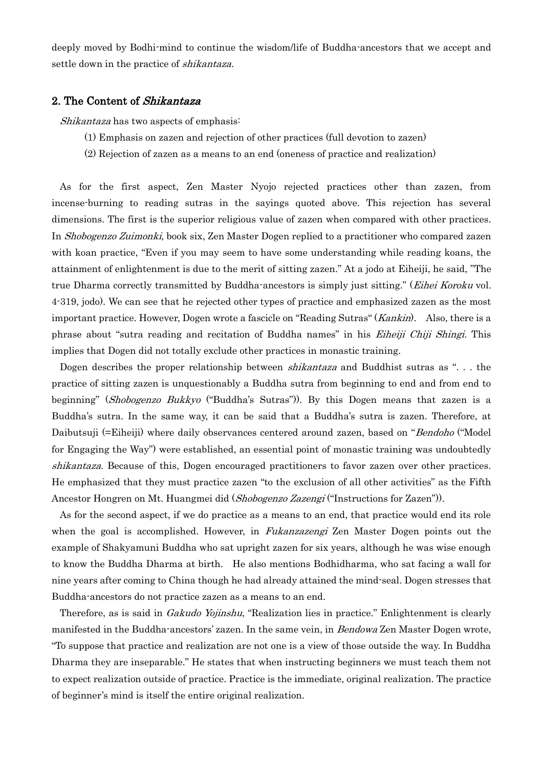deeply moved by Bodhi-mind to continue the wisdom/life of Buddha-ancestors that we accept and settle down in the practice of shikantaza.

## 2. The Content of Shikantaza

Shikantaza has two aspects of emphasis:

- (1) Emphasis on zazen and rejection of other practices (full devotion to zazen)
- (2) Rejection of zazen as a means to an end (oneness of practice and realization)

As for the first aspect, Zen Master Nyojo rejected practices other than zazen, from incense-burning to reading sutras in the sayings quoted above. This rejection has several dimensions. The first is the superior religious value of zazen when compared with other practices. In *Shobogenzo Zuimonki*, book six, Zen Master Dogen replied to a practitioner who compared zazen with koan practice, "Even if you may seem to have some understanding while reading koans, the attainment of enlightenment is due to the merit of sitting zazen." At a jodo at Eiheiji, he said, "The true Dharma correctly transmitted by Buddha-ancestors is simply just sitting." (Eihei Koroku vol. 4-319, jodo). We can see that he rejected other types of practice and emphasized zazen as the most important practice. However, Dogen wrote a fascicle on "Reading Sutras" (*Kankin*). Also, there is a phrase about "sutra reading and recitation of Buddha names" in his Eiheiji Chiji Shingi. This implies that Dogen did not totally exclude other practices in monastic training.

Dogen describes the proper relationship between *shikantaza* and Buddhist sutras as "... the practice of sitting zazen is unquestionably a Buddha sutra from beginning to end and from end to beginning" (Shobogenzo Bukkyo ("Buddha's Sutras")). By this Dogen means that zazen is a Buddha's sutra. In the same way, it can be said that a Buddha's sutra is zazen. Therefore, at Daibutsuji (=Eiheiji) where daily observances centered around zazen, based on "*Bendoho* ("Model for Engaging the Way") were established, an essential point of monastic training was undoubtedly shikantaza. Because of this, Dogen encouraged practitioners to favor zazen over other practices. He emphasized that they must practice zazen "to the exclusion of all other activities" as the Fifth Ancestor Hongren on Mt. Huangmei did (*Shobogenzo Zazengi* ("Instructions for Zazen")).

As for the second aspect, if we do practice as a means to an end, that practice would end its role when the goal is accomplished. However, in *Fukanzazengi* Zen Master Dogen points out the example of Shakyamuni Buddha who sat upright zazen for six years, although he was wise enough to know the Buddha Dharma at birth. He also mentions Bodhidharma, who sat facing a wall for nine years after coming to China though he had already attained the mind-seal. Dogen stresses that Buddha-ancestors do not practice zazen as a means to an end.

Therefore, as is said in *Gakudo Yojinshu*, "Realization lies in practice." Enlightenment is clearly manifested in the Buddha-ancestors' zazen. In the same vein, in *Bendowa* Zen Master Dogen wrote, "To suppose that practice and realization are not one is a view of those outside the way. In Buddha Dharma they are inseparable." He states that when instructing beginners we must teach them not to expect realization outside of practice. Practice is the immediate, original realization. The practice of beginner's mind is itself the entire original realization.